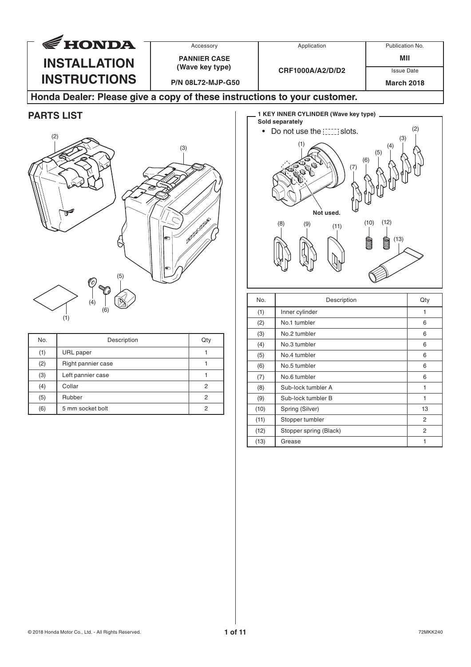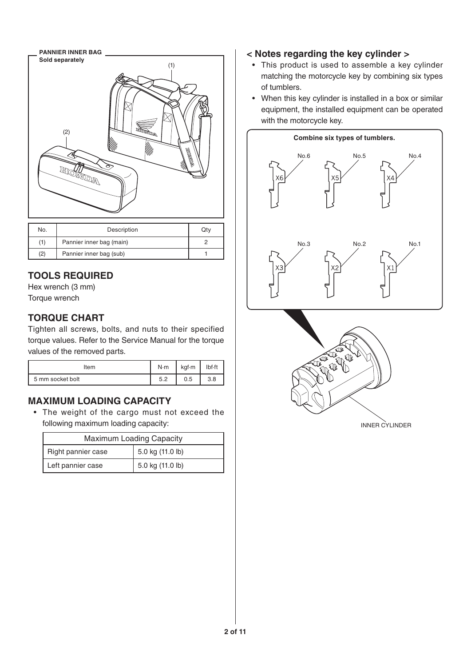

| No. | Description              | Qtv |
|-----|--------------------------|-----|
|     | Pannier inner bag (main) |     |
| (2) | Pannier inner bag (sub)  |     |

# **TOOLS REQUIRED**

Hex wrench (3 mm) Torque wrench

# **TORQUE CHART**

Tighten all screws, bolts, and nuts to their specified torque values. Refer to the Service Manual for the torque values of the removed parts.

| Item             | N·m       | kgf-m | Ibf-ft |
|------------------|-----------|-------|--------|
| 5 mm socket bolt | にっ<br>ے.د | 0.5   | 3.8    |

# **MAXIMUM LOADING CAPACITY**

• The weight of the cargo must not exceed the following maximum loading capacity:

| <b>Maximum Loading Capacity</b> |                  |  |
|---------------------------------|------------------|--|
| Right pannier case              | 5.0 kg (11.0 lb) |  |
| Left pannier case               | 5.0 kg (11.0 lb) |  |

#### **< Notes regarding the key cylinder >**

- This product is used to assemble a key cylinder matching the motorcycle key by combining six types of tumblers.
- When this key cylinder is installed in a box or similar equipment, the installed equipment can be operated with the motorcycle key.





INNER CYLINDER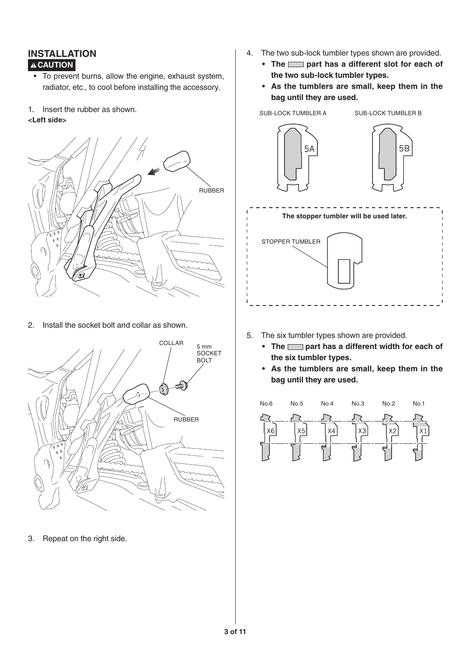#### **INSTALLATION A** CAUTION

- To prevent burns, allow the engine, exhaust system, radiator, etc., to cool before installing the accessory.
- 1. Insert the rubber as shown.

#### **<Left side>**



2. Install the socket bolt and collar as shown.



3. Repeat on the right side.

- 4. The two sub-lock tumbler types shown are provided.
	- The part has a different slot for each of **the two sub-lock tumbler types.**
	- **• As the tumblers are small, keep them in the bag until they are used.**



- 5. The six tumbler types shown are provided.
	- The part has a different width for each of **the six tumbler types.**
	- **• As the tumblers are small, keep them in the bag until they are used.**

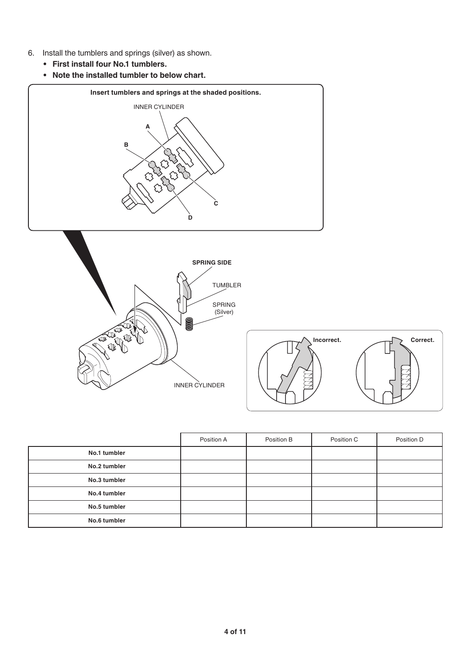- 6. Install the tumblers and springs (silver) as shown.
	- **• First install four No.1 tumblers.**
	- **• Note the installed tumbler to below chart.**







|              | Position A | Position B | Position C | Position D |
|--------------|------------|------------|------------|------------|
| No.1 tumbler |            |            |            |            |
| No.2 tumbler |            |            |            |            |
| No.3 tumbler |            |            |            |            |
| No.4 tumbler |            |            |            |            |
| No.5 tumbler |            |            |            |            |
| No.6 tumbler |            |            |            |            |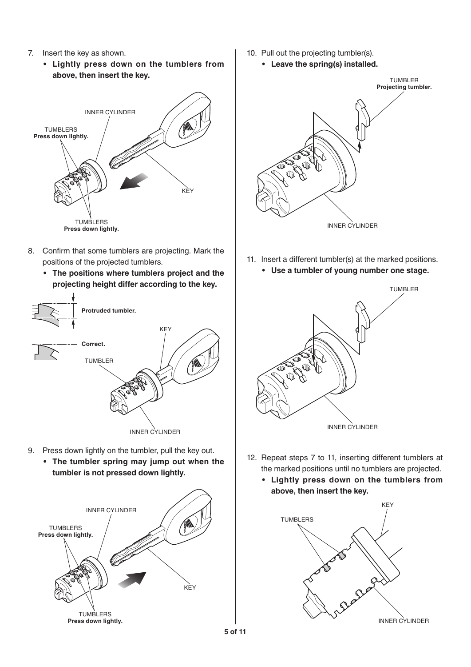- 7. Insert the key as shown.
	- **• Lightly press down on the tumblers from above, then insert the key.**



- 8. Confirm that some tumblers are projecting. Mark the positions of the projected tumblers.
	- **• The positions where tumblers project and the projecting height differ according to the key.**



- 9. Press down lightly on the tumbler, pull the key out.
	- **• The tumbler spring may jump out when the tumbler is not pressed down lightly.**



- 10. Pull out the projecting tumbler(s).
	- **• Leave the spring(s) installed.**



- 11. Insert a different tumbler(s) at the marked positions.
	- **• Use a tumbler of young number one stage.**



- 12. Repeat steps 7 to 11, inserting different tumblers at the marked positions until no tumblers are projected.
	- **• Lightly press down on the tumblers from above, then insert the key.**

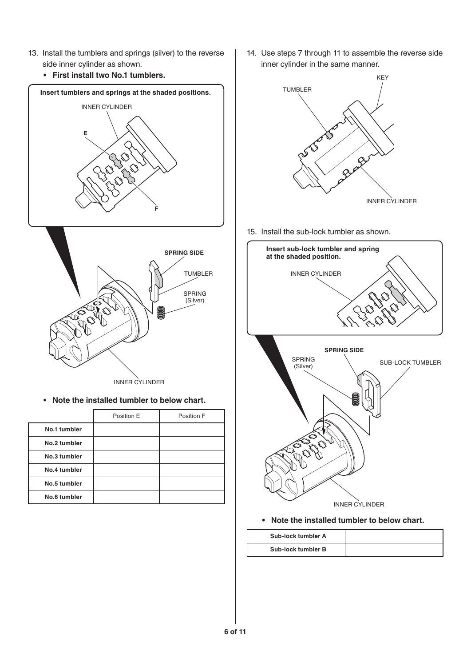- 13. Install the tumblers and springs (silver) to the reverse side inner cylinder as shown.
	- **• First install two No.1 tumblers.**



INNER CYLINDER

**• Note the installed tumbler to below chart.**

|              | Position E | Position F |
|--------------|------------|------------|
| No.1 tumbler |            |            |
| No.2 tumbler |            |            |
| No.3 tumbler |            |            |
| No.4 tumbler |            |            |
| No.5 tumbler |            |            |
| No.6 tumbler |            |            |

14. Use steps 7 through 11 to assemble the reverse side inner cylinder in the same manner.



15. Install the sub-lock tumbler as shown.



**• Note the installed tumbler to below chart.**

| Sub-lock tumbler A |  |
|--------------------|--|
| Sub-lock tumbler B |  |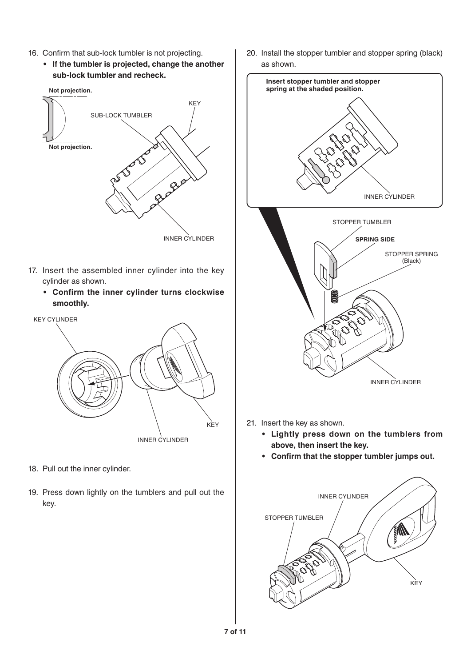- 16. Confirm that sub-lock tumbler is not projecting.
	- **• If the tumbler is projected, change the another sub-lock tumbler and recheck.**



- 17. Insert the assembled inner cylinder into the key cylinder as shown.
	- **• Confirm the inner cylinder turns clockwise smoothly.**



- 18. Pull out the inner cylinder.
- 19. Press down lightly on the tumblers and pull out the key.

20. Install the stopper tumbler and stopper spring (black) as shown.



- 21. Insert the key as shown.
	- **• Lightly press down on the tumblers from above, then insert the key.**
	- **• Confirm that the stopper tumbler jumps out.**

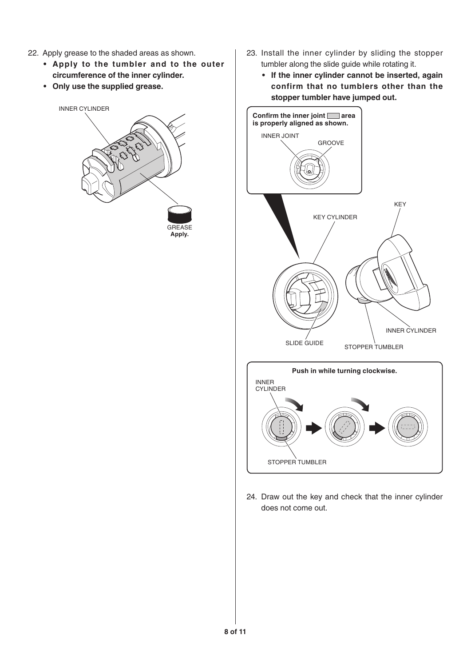- 22. Apply grease to the shaded areas as shown.
	- **• Apply to the tumbler and to the outer circumference of the inner cylinder.**
	- **• Only use the supplied grease.**



**Apply.**

- 23. Install the inner cylinder by sliding the stopper tumbler along the slide guide while rotating it.
	- **• If the inner cylinder cannot be inserted, again confirm that no tumblers other than the stopper tumbler have jumped out.**



24. Draw out the key and check that the inner cylinder does not come out.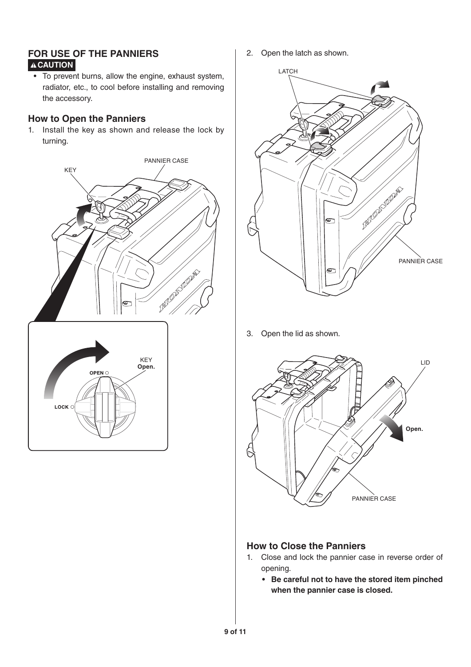## **FOR USE OF THE PANNIERS A** CAUTION

• To prevent burns, allow the engine, exhaust system, radiator, etc., to cool before installing and removing the accessory.

## **How to Open the Panniers**

1. Install the key as shown and release the lock by turning.



2. Open the latch as shown.



3. Open the lid as shown.



#### **How to Close the Panniers**

- 1. Close and lock the pannier case in reverse order of opening.
	- **• Be careful not to have the stored item pinched when the pannier case is closed.**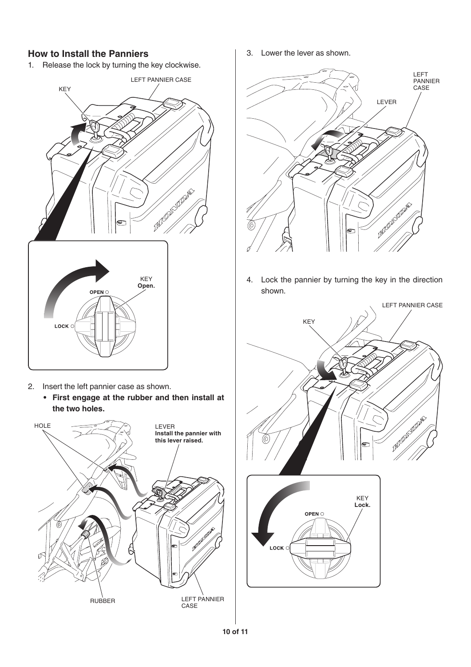## **How to Install the Panniers**

1. Release the lock by turning the key clockwise.



- 2. Insert the left pannier case as shown.
	- **• First engage at the rubber and then install at the two holes.**



3. Lower the lever as shown.



4. Lock the pannier by turning the key in the direction shown.